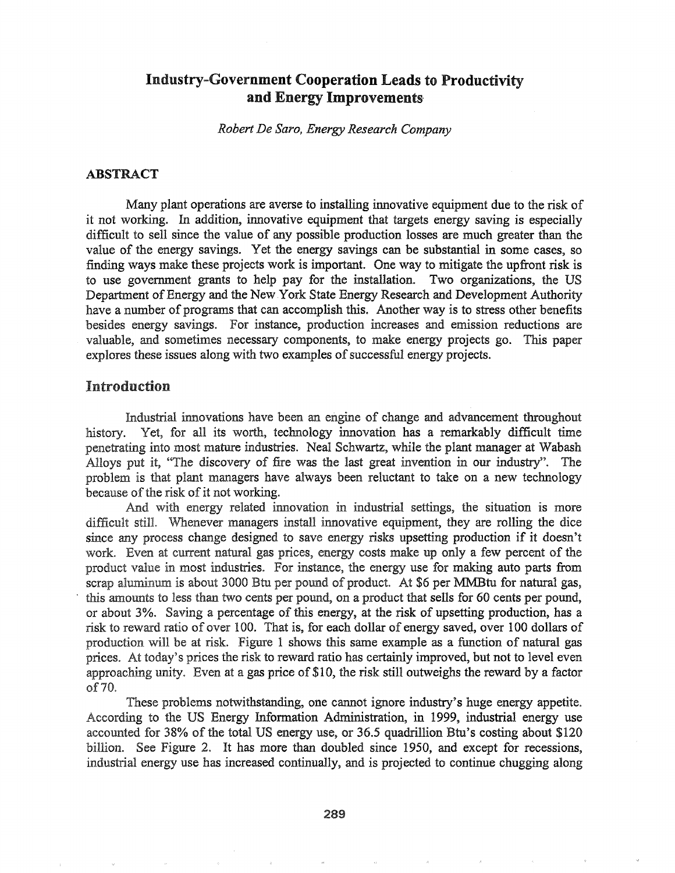# Industry-Government Cooperation Leads to Productivity and Energy Improvements-

*Robert De Saro, Energy Research C0111:pany*

## ABSTRACT

Many plant operations are averse to installing innovative equipment due to the risk of it not working. In addition, innovative equipment that targets energy saving is especially difficult to sell since the value of any possible production losses are much greater than the value of the energy savings. Yet the energy savings can be substantial in some cases, so finding ways make these projects work is important. One way to mitigate the upfront risk is to use government grants to help pay for the installation. Two organizations, the US Department of Energy and the New York State Energy Research and Development Authority have a number of programs that can accomplish this. Another way is to stress other benefits besides energy savings. For instance, production increases and emission reductions are valuable, and sometimes necessary components, to make energy projects go.. This paper explores these issues along with two examples of successful energy projects.

## Introduction

Industrial innovations have been an engine of change and advancement throughout history. Yet, for all its worth, technology innovation has a remarkably difficult time penetrating into most mature industries. Neal Schwartz, while the plant manager at Wabash Alloys put it, "The discovery of fire was the last great invention in our industry". The problem is that plant managers have always been reluctant to take on a new technology because of the risk of it not working.

And with energy related innovation in industrial settings, the situation is more difficult still. Whenever managers install innovative equipment, they are rolling the dice since any process change designed to save energy risks upsetting production if it doesn't work. Even at current natural gas prices, energy costs make up only a few percent of the product value in most industries. For instance, the energy use for making auto parts from scrap aluminum is about 3000 Btu per pound of product. At \$6 per MMBtu for natural gas, this amounts to less than two cents per pound, on a product that sells for 60 cents per pound, or about 3%. Saving a percentage of this energy, at the risk of upsetting production, has a risk to reward ratio of over 100. That is, for each dollar of energy saved, over 100 dollars of production will be at risk. Figure 1 shows this same example as a function of natural gas prices. At today's prices the risk to reward ratio has certainly improved, but not to level even approaching unity. Even at a gas price of  $$10$ , the risk still outweighs the reward by a factor of 70.

These problems notwithstanding, one cannot ignore industry's huge energy appetite. According to the US Energy Information Administration, in 1999, industrial energy use accounted for 38% of the total US energy use, or 36.5 quadrillion Btu's costing about \$120 billion. See Figure 2. It has more than doubled since 1950, and except for recessions, industrial energy use has increased continually, and is projected to continue chugging along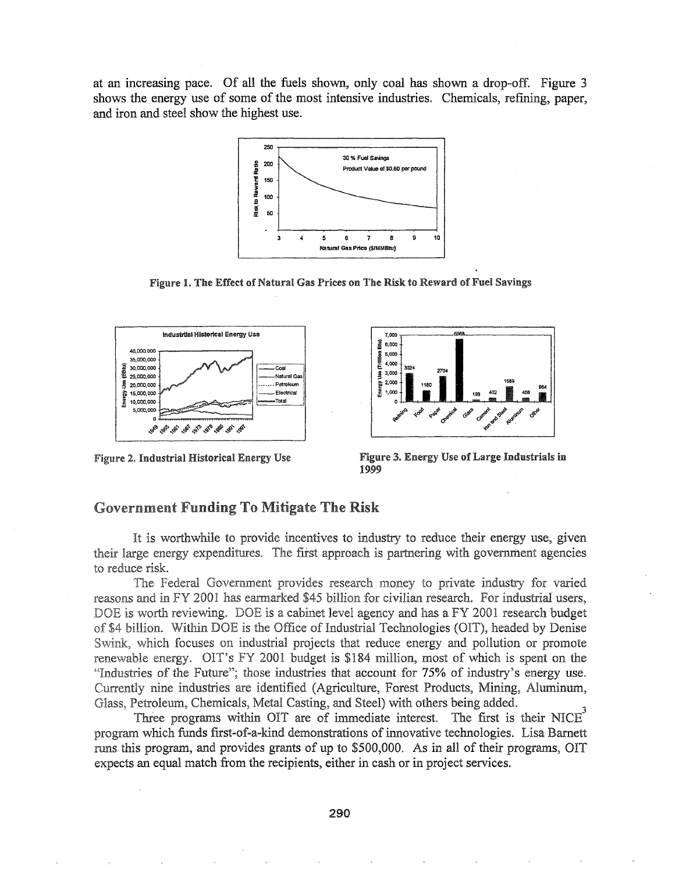at an increasing pace. Of all the fuels shown, only coal has shown a drop-off. Figure 3 shows the energy use of some of the most intensive industries. Chemicals, refining, paper, and iron and steel show the highest use.



Figure 1. The Effect of Natural Gas Prices on The Risk to Reward of Fuel Savings



Figure 2. Industrial Historical Energy Use



19,99 Figure 3. Energy Use of Large Industrials in

## Government Funding To Mitigate

It is worthwhile to provide incentives to industry to reduce their energy use, given their large energy expenditures. The first approach is partnering with government agencies to reduce risk.

The Federal Government provides research money to private industry for varied reasons and in FY 2001 has earmarked \$45 billion for civilian research. For industrial users, DOE is worth reviewing. DOE is a cabinet level agency and has a FY 2001 research budget of \$4 billion. Within DOE is the Office of Industrial Technologies (OIT), headed by Denise Swink, which focuses on industrial projects that reduce energy and pollution or promote renewable energy. OIT's FY 2001 budget is \$184 million, most of which is spent on the "Industries of the Future"; those industries that account for 75% of industry's energy use. Currently nine industries are identified (Agriculture, Forest Products, Mining, Aluminum, Glass, Petroleum, Chemicals, Metal Casting, and Steel) with others being added.

Three programs within OIT are of immediate interest. The first is their  $NICE<sup>3</sup>$ program which funds first-of-a-kind demonstrations of innovative technologies. Lisa Barnett runs this program, and provides grants of up to \$500,000. As in all of their programs, OIT expects an equal match from the recipients, either in cash or in project services.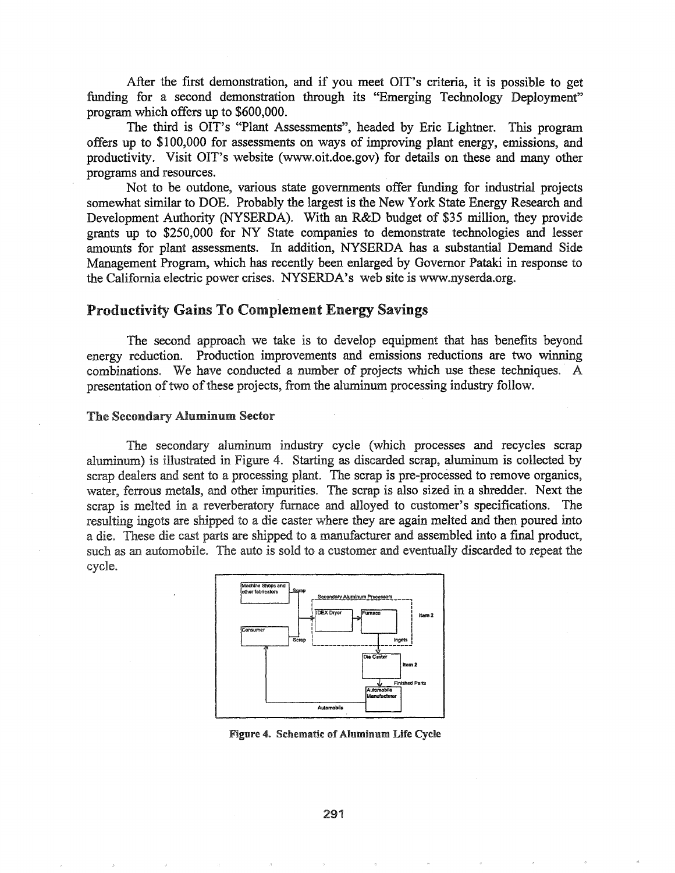After the first demonstration, and if you meet OIT's criteria, it is possible to get funding for a second demonstration through its "Emerging Technology Deployment" program which offers up to \$600,000.

The third is OIT's "Plant Assessments", headed by Eric Lightner.. This program offers up to \$100,000 for assessments on ways of improving plant energy, emissions, and productivity.. Visit OIT's website (www.oit.doe.gov) for details on these and many other programs and resources.. .

Not to be outdone, various state governments offer funding for industrial projects somewhat similar to DOE. Probably the largest is the New York State Energy Research and Development Authority (NYSERDA). With an R&D budget of \$35 million, they provide grants up to \$250,000 for NY State companies to demonstrate technologies and lesser amounts for plant assessments. In addition, NYSERDA has a substantial Demand Side Management Program, which has recently been enlarged by Govemor Pataki in response to the California electric power crises. NYSERDA's web site is www.nyserda.org.

## Productivity Gains To Complement Energy Savings

The second approach we take is to develop equipment that has benefits beyond energy reduction. Production improvements and emissions reductions are two winning combinations. We have conducted a number of projects which use these techniques. A presentation of two of these projects, from the aluminum processing industry follow.

#### The Secondary Aluminum Sector

The secondary aluminum industry cycle (which processes and recycles scrap aluminum) is illustrated in Figure 4. Starting as discarded scrap, aluminum is collected by scrap dealers and sent to a processing plant. The scrap is pre-processed to remove organics, water, ferrous metals, and other impurities. The scrap is also sized in a shredder. Next the scrap is melted in a reverberatory furnace and alloyed to customer's specifications. The resulting ingots are shipped to a die caster where they are again melted and then poured into a die. These die cast parts are shipped to a manufacturer and assembled into a final product, such as an automobile. The auto is sold to a customer and eventually discarded to repeat the cycle.



Figure 4. Schematic of Aluminum Life Cycle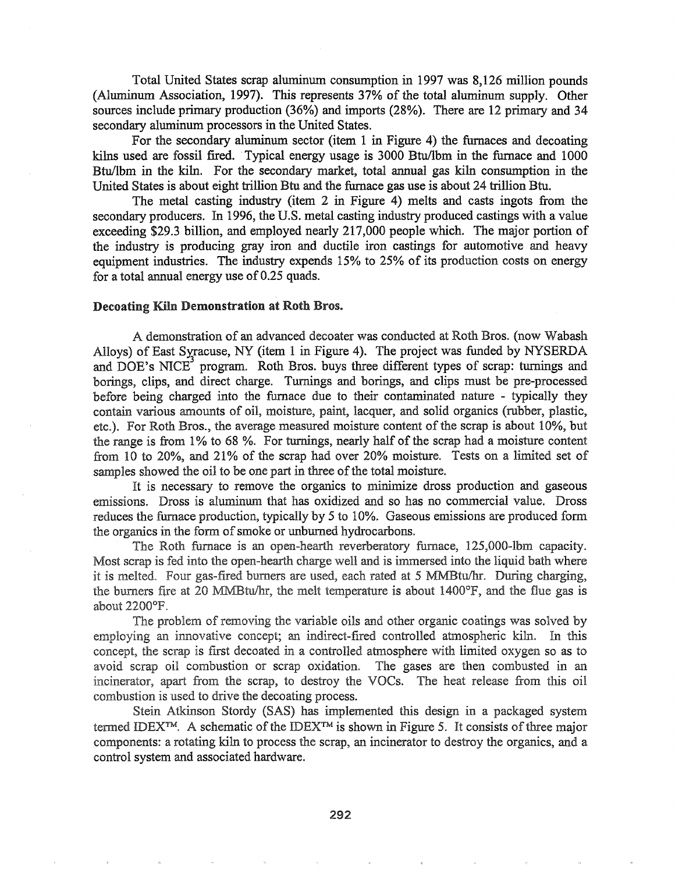Total United States scrap aluminum consumption in 1997 was 8,126 million pounds (Aluminum Association, 1997). This represents 37% of the total aluminum supply. Other sources include primary production (36%) and imports (28%). There are 12 primary and 34 secondary aluminum processors in the United States..

For the secondary aluminum sector (item 1 in Figure 4) the furnaces and decoating kilns used are fossil fired. Typical energy usage is 3000 Btu/lbm in the furnace and 1000 Btu/Ibm in the kiln. For the secondary market, total annual gas kiln consumption in the United States is about eight trillion Btu and the furnace gas use is about 24 trillion Btu.

The metal casting industry (item 2 in Figure 4) melts and casts ingots from the secondary producers. In 1996, the U.S. metal casting industry produced castings with a value exceeding \$29.3 billion, and employed nearly 217,000 people which. The major portion of the industry is producing gray iron and ductile iron castings for automotive and heavy equipment industries. The industry expends 15% to 25% of its production costs on energy for a total annual energy use of  $0.25$  quads.

### Decoating Kiln Demonstration at Roth Bros.

A demonstration of an advanced decoater was conducted at Roth Bros. (now Wabash Alloys) of East Syracuse, NY (item 1 in Figure 4). The project was funded by NYSERDA and DOE's NICE<sup>3</sup> program. Roth Bros. buys three different types of scrap: turnings and borings, clips, and direct charge. Turnings and borings, and clips must be pre-processed before being charged into the furnace due to their contaminated nature - typically they contain various amounts of oil, moisture, paint, lacquer, and solid organics (rubber, plastic, etc.). For Roth Bros., the average measured moisture content of the scrap is about 10%, but the range is from  $1\%$  to 68 %. For turnings, nearly half of the scrap had a moisture content from 10 to 20%, and 21% of the scrap had over 20% moisture. Tests on a limited set of samples showed the oil to be one part in three of the total moisture.

It is necessary to remove the organics to minimize dross production and gaseous emissions. Dross is aluminum that has oxidized and so has no commercial value. Dross reduces the furnace production, typically by 5 to 10%. Gaseous emissions are produced form the organics in the form of smoke or unburned hydrocarbons.

The Roth furnace is an open-hearth reverberatory furnace, 125,000-lbm capacity. open-hearth charge well and is immersed into the liquid bath where<br>ed burners are used, each rated at 5 MMBtu/hr. During charging,<br>//Eltu/hr, the melt temperature is about 1400°F, and the flue gas is it is melted. Four gas-fired burners are used, each rated at 5 MMBtu/hr. During charging, about 2200°F.

The problem of removing the variable oils and other organic coatings was solved by employing an innovative concept; an indirect-fired controlled atmospheric kiln. In this concept, the scrap is first decoated in a controlled atmosphere with limited oxygen so as to avoid scrap oil combustion or scrap oxidation. The gases are then combusted in an incinerator, apart from the scrap, to destroy the VOCs. The heat release from this oil combustion is used to drive the decoating process.

Atkinson Stordy (SAS) has implemented this design in a packaged system termed IDEX<sup>TM</sup>. A schematic of the IDEX<sup>TM</sup> is shown in Figure 5. It consists of three major components: a rotating kiln to process the scrap, an incinerator to destroy the organics, and a control system and associated hardware.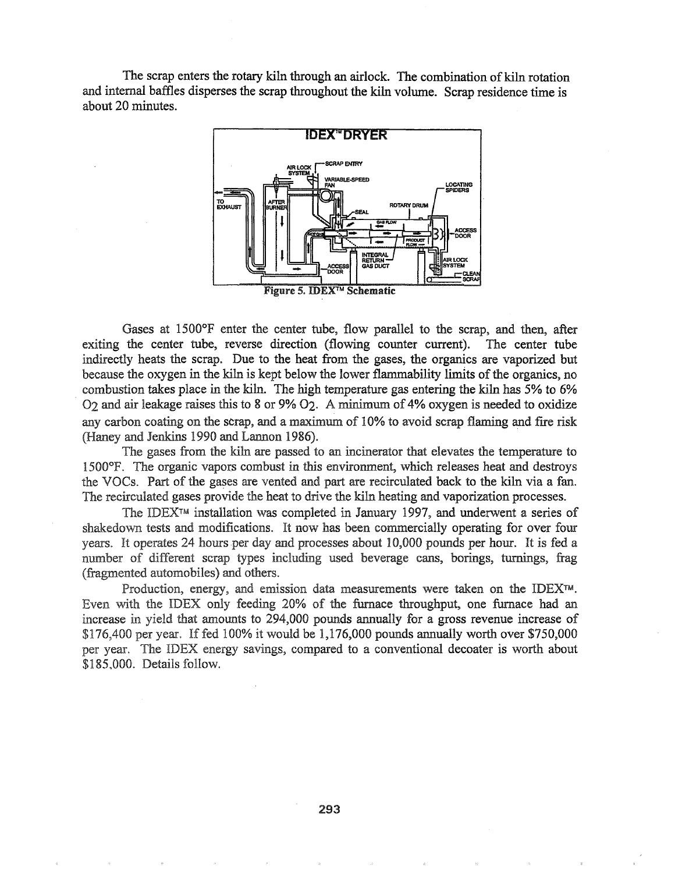The scrap enters the rotary kiln through an airlock. The combination of kiln rotation and internal baffles disperses the scrap throughout the kiln volume. Scrap residence time is about 20 minutes.



Gases at 1500°F enter the center tube, flow parallel to the scrap, and then, after exiting the center tube, reverse direction (flowing counter current). The center tube indirectly heats the scrap. Due to the heat from the gases, the organics are vaporized but because the oxygen in the kiln is kept below the lower flammability limits of the organics, no combustion takes place in the kiln. The high temperature gas entering the kiln has 5% to 6%  $O<sub>2</sub>$  and air leakage raises this to 8 or 9%  $O<sub>2</sub>$ . A minimum of 4% oxygen is needed to oxidize any carbon coating on the scrap, and a maximum of  $10%$  to avoid scrap flaming and fire risk (Haney and Jenkins 1990 and Lannon 1986).

The gases from the kiln are passed to an incinerator that elevates the temperature to 1500°F. The organic vapors combust in this environment, which releases heat and destroys the VOCs. Part of the gases are vented and part are recirculated back to the kiln via a fan. The recirculated gases provide the heat to drive the kiln heating and vaporization processes.

The IDEX<sup>™</sup> installation was completed in January 1997, and underwent a series of shakedown tests and modifications. It now has been commercially operating for over four years. It operates 24 hours per day and processes about 10,000 pounds per hour. It is fed a number of different scrap types including used beverage cans, borings, turnings, frag (fragmented automobiles) and others.

Production, energy, and emission data measurements were taken on the IDEX<sup>TM</sup>. Even with the IDEX only feeding 20% of the furnace throughput, one furnace had an increase in yield that amounts to 294,000 pounds annually for a gross revenue increase of  $$176,400$  per year. If fed 100% it would be 1,176,000 pounds annually worth over \$750,000 per year. The IDEX energy savings, compared to a conventional decoater is worth about \$185,000. Details follow.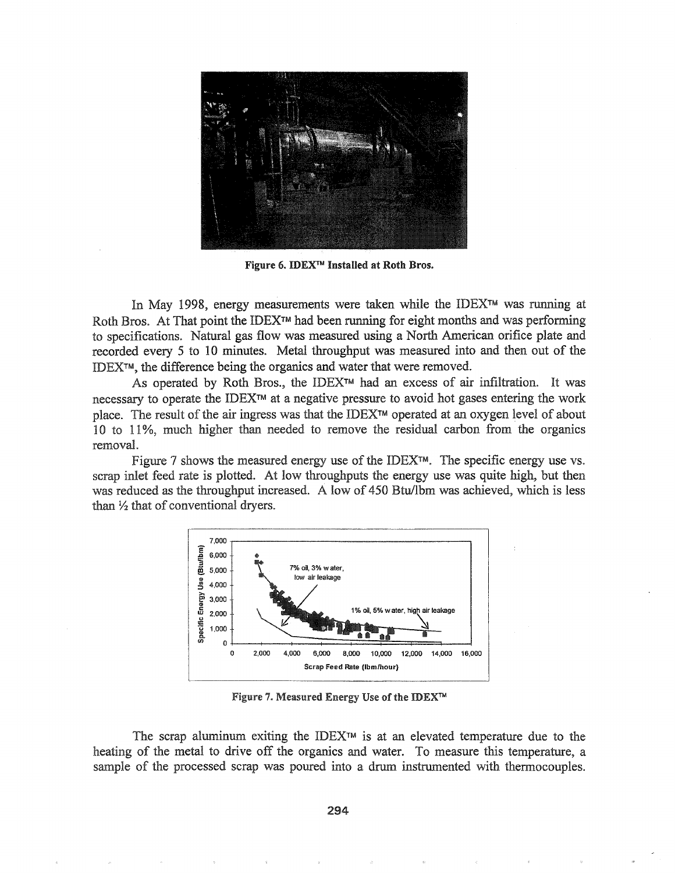

Figure 6. IDEX<sup>™</sup> Installed at Roth Bros.

In May 1998, energy measurements were taken while the IDEX<sup>TM</sup> was running at Roth Bros. At That point the IDEX™ had been running for eight months and was performing to specifications. Natural gas flow was measured using a North American orifice plate and recorded every 5 to 10 minutes. Metal throughput was measured into and then out of the IDEXTM, the difference being the organics and water that were removed.

As operated by Roth Bros., the IDEX<sup>TM</sup> had an excess of air infiltration. It was necessary to operate the IDEXTM at a negative pressure to avoid hot gases entering the work place. The result of the air ingress was that the IDEX<sup>TM</sup> operated at an oxygen level of about 10 to 11%, much higher than needed to remove the residual carbon from the organics removal.

Figure 7 shows the measured energy use of the IDEX<sup>TM</sup>. The specific energy use vs. scrap inlet feed rate is plotted. At low throughputs the energy use was quite high, but then was reduced as the throughput increased. A low of 450 Btu/Ibm was achieved, which is less than  $\frac{1}{2}$  that of conventional dryers.



Figure 7. Measured Energy Use of the IDEX™

The scrap aluminum exiting the IDEX<sup>TM</sup> is at an elevated temperature due to the heating of the metal to drive off the organics and water. To measure this temperature, a sample of the processed scrap was poured into a drum instrumented with thermocouples.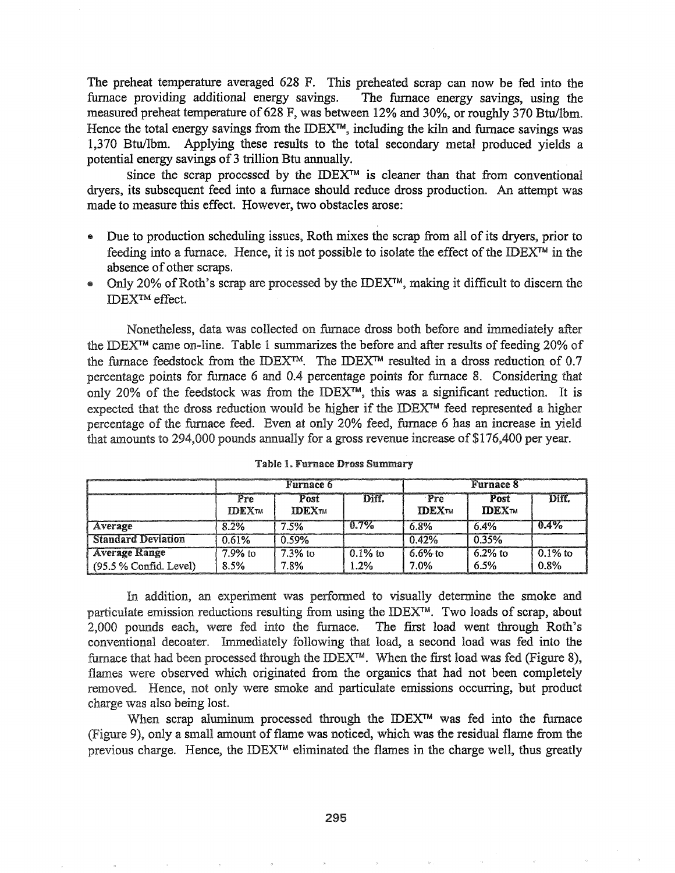The preheat temperature averaged 628 F. This preheated scrap can now be fed into the furnace providing additional energy savings. The furnace energy savings, using the measured preheat temperature of 628 F, was between 12% and 30%, or roughly 370 Btu/lbm. Hence the total energy savings from the IDEX<sup>TM</sup>, including the kiln and furnace savings was 1,370 Btu/Ibm. Applying these results to the total secondary metal produced yields a potential energy savings of 3 trillion Btu annually.

since the scrap processed by the IDEX<sup>TM</sup> is cleaner than that from conventional dryers, its subsequent feed into a furnace should reduce dross production. An attempt was made to measure this effect. However, two obstacles arose:

- Due to production scheduling issues, Roth mixes the scrap from all of its dryers, prior to feeding into a furnace. Hence, it is not possible to isolate the effect of the IDEX<sup>TM</sup> in the absence of other scraps.
- Only 20% of Roth's scrap are processed by the IDEX<sup>TM</sup>, making it difficult to discern the IDEXTM effect..

Nonetheless, data was collected on furnace dross both before and immediately after the IDEX<sup>TM</sup> came on-line. Table 1 summarizes the before and after results of feeding 20% of the furnace feedstock from the IDEX<sup>TM</sup>. The IDEX<sup>TM</sup> resulted in a dross reduction of 0.7 percentage points for furnace 6 and 0.4 percentage points for furnace 8. Considering that only 20% of the feedstock was from the IDEX<sup>TM</sup>, this was a significant reduction. It is expected that the dross reduction would be higher if the IDEX<sup>TM</sup> feed represented a higher percentage of the furnace feed. Even at only 20% feed, furnace 6 has an increase in yield that amounts to 294,000 pounds annually for a gross revenue increase of \$176,400 per year.

|                           | <b>Furnace 6</b>     |                       |            | <b>Furnace 8</b>     |                       |            |
|---------------------------|----------------------|-----------------------|------------|----------------------|-----------------------|------------|
|                           | Pre<br><b>IDEXTM</b> | Post<br><b>IDEXTM</b> | Diff.      | Pre<br><b>IDEXTM</b> | Post<br><b>IDEXTM</b> | Diff.      |
| Average                   | 8.2%                 | $7.5\%$               | $0.7\%$    | 6.8%                 | 6.4%                  | $0.4\%$    |
| <b>Standard Deviation</b> | 0.61%                | 0.59%                 |            | 0.42%                | 0.35%                 |            |
| <b>Average Range</b>      | 7.9% to              | $7.3%$ to             | $0.1\%$ to | $6.6%$ to            | $6.2\%$ to            | $0.1\%$ to |
| (95.5 % Confid. Level)    | 8.5%                 | $7.8\%$               | 1.2%       | 7.0%                 | 6.5%                  | 0.8%       |

Table 1. Furnace Dross Summary

In addition, an experiment was performed to visually determine the smoke and particulate emission reductions resulting from using the IDEX<sup>TM</sup>. Two loads of scrap, about 2,000 pounds each, were fed into the furnace. The first load went through Roth's conventional decoater. Immediately following that load, a second load was fed into the furnace that had been processed through the IDEX<sup>TM</sup>. When the first load was fed (Figure 8), flames were observed which originated from the organics that had not been completely removed. Hence, not only were smoke and particulate emissions occurring, but product charge was also being lost.

When scrap aluminum processed through the IDEX<sup>TM</sup> was fed into the furnace (Figure 9), only a small amount of flame was noticed, which was the residual flame from the previous charge. Hence, the IDEX<sup>TM</sup> eliminated the flames in the charge well, thus greatly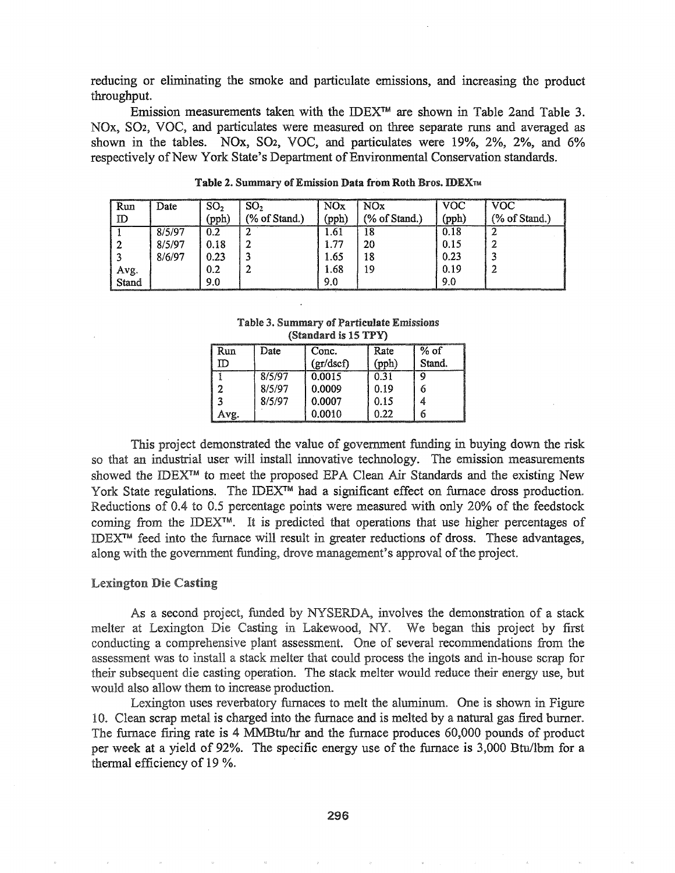reducing or eliminating the smoke and particulate emissions, and increasing the product throughput.

Emission measurements taken with the IDEXTM are shown in Table 2and Table 3. NOx, S02, VOC, and particulates were measured on three separate runs and averaged as shown in the tables. NOx, S02, VOC, and particulates were 19%, 2%, 2%, and 6% respectively of New York State's Department of Environmental Conservation standards.

| Run         | Date   | SO <sub>2</sub> | SO <sub>2</sub> | NOx   | <b>NOx</b>    | VOC              | VOC           |
|-------------|--------|-----------------|-----------------|-------|---------------|------------------|---------------|
| $\mathbb D$ |        | (pph)           | (% of Stand.)   | (pph) | (% of Stand.) | $(\mathrm{pph})$ | (% of Stand.) |
|             | 8/5/97 | 0.2             |                 | 1.61  | 18            | 0.18             |               |
|             | 8/5/97 | 0.18            | ∸               | 1.77  | 20            | 0.15             |               |
|             | 8/6/97 | 0.23            | 3               | 1.65  | 18            | 0.23             |               |
| Avg.        |        | 0.2             | ∸               | 1.68  | 19            | 0.19             |               |
| Stand       |        | 9.0             |                 | 9.0   |               | 9.0              |               |

Table 2. Summary of Emission Data from Roth Bros. IDEXTM

Table 3. Summary of Particulate Emissions (Standard is 15 TPY)

| Run<br>D | Date   | Conc.<br>(gr/dscf) | Rate<br>(pph | % of<br>Stand. |
|----------|--------|--------------------|--------------|----------------|
|          | 8/5/97 | 0.0015             | 0.31         | Q              |
|          | 8/5/97 | 0.0009             | 0.19         | ŕ٦             |
|          | 8/5/97 | 0.0007             | 0.15         |                |
| Avg.     |        | 0.0010             | 0.22         |                |

This project demonstrated the value of government funding in buying down the risk so that an industrial user will install innovative technology. The emission measurements showed the IDEX<sup>TM</sup> to meet the proposed EPA Clean Air Standards and the existing New York State regulations. The IDEX<sup>TM</sup> had a significant effect on furnace dross production. Reductions of 0.4 to 0.5 percentage points were measured with only 20% of the feedstock coming from the IDEX<sup>TM</sup>. It is predicted that operations that use higher percentages of IDEX<sup>TM</sup> feed into the furnace will result in greater reductions of dross. These advantages, along with the government funding, drove management's approval of the project.

## **Lexington Die Casting**

As a second project, funded by NYSERDA, involves the demonstration of a stack melter at Lexington Die Casting in Lakewood, NY. We began this project by first conducting a comprehensive plant assessment. One of several recommendations from the a stack melter that could process the ingots and in-house scrap for casting operation. The stack melter would reduce their energy use, but would also allow them to increase production.

Lexington uses reverbatory furnaces to melt the aluminum. One is shown in Figure 10. Clean scrap metal is charged into the furnace and is melted by a natural gas fired burner. The furnace firing rate is 4 MMBtu/hr and the furnace produces 60,000 pounds of product per week at a yield of 92%.. The specific energy use of the furnace is 3,000 Btu/Ibm for a thermal efficiency of 19 %.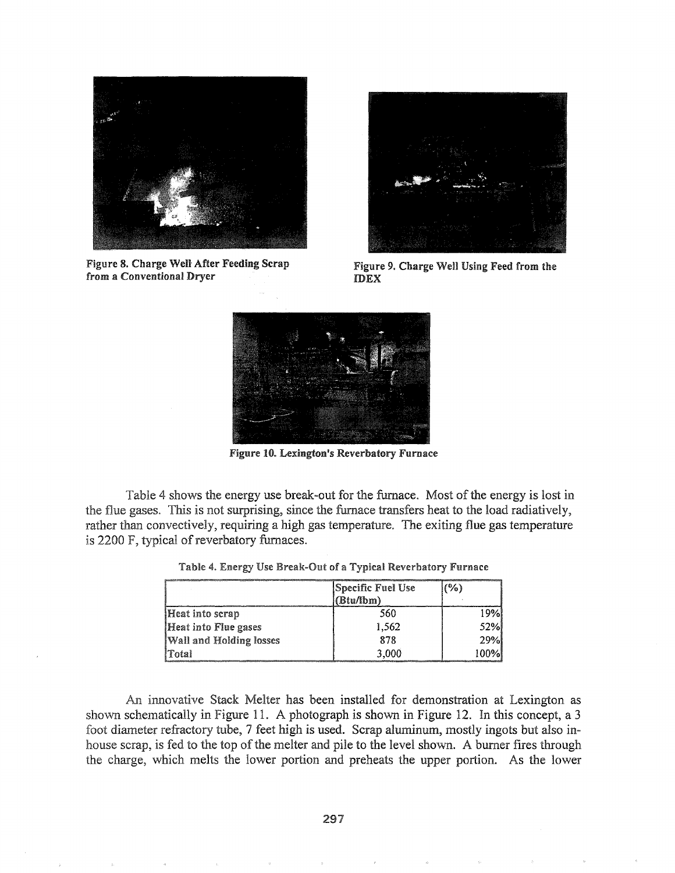

Figure 8. Charge Well After Feeding Scrap from a Conventional Dryer



Figure 9. Charge Well Using Feed from the IDEX



Figure 10. Lexington's Reverbatory Furnace

Table 4 shows the energy use break-out for the furnace. Most of the energy is lost in the flue gases. This is not surprising, since the furnace transfers heat to the load radiatively, rather than convectively, requiring a high gas temperature. The exiting flue gas temperature is 2200 F, typical of reverbatory furnaces.

|                                | Specific Fuel Use<br>(Btu/lbm) | '%`   |
|--------------------------------|--------------------------------|-------|
| Heat into scrap                | 560                            | 19%   |
| Heat into Flue gases           | 1,562                          | 52%   |
| <b>Wall and Holding losses</b> | 878                            | 29%   |
| lTotal                         | 3,000                          | 100%I |

Table 4. Energy Use Break-Out of a Typical Reverbatory Furnace

An innovative Stack Melter has been installed for demonstration at Lexington as shown schematically in Figure 11. A photograph is shown in Figure 12. In this concept, a 3 foot diameter refractory tube, 7 feet high is used. Scrap aluminum, mostly ingots but also inhouse scrap, is fed to the top of the melter and pile to the level shown. A burner fires through the charge, which melts the lower portion and preheats the upper portion. As the lower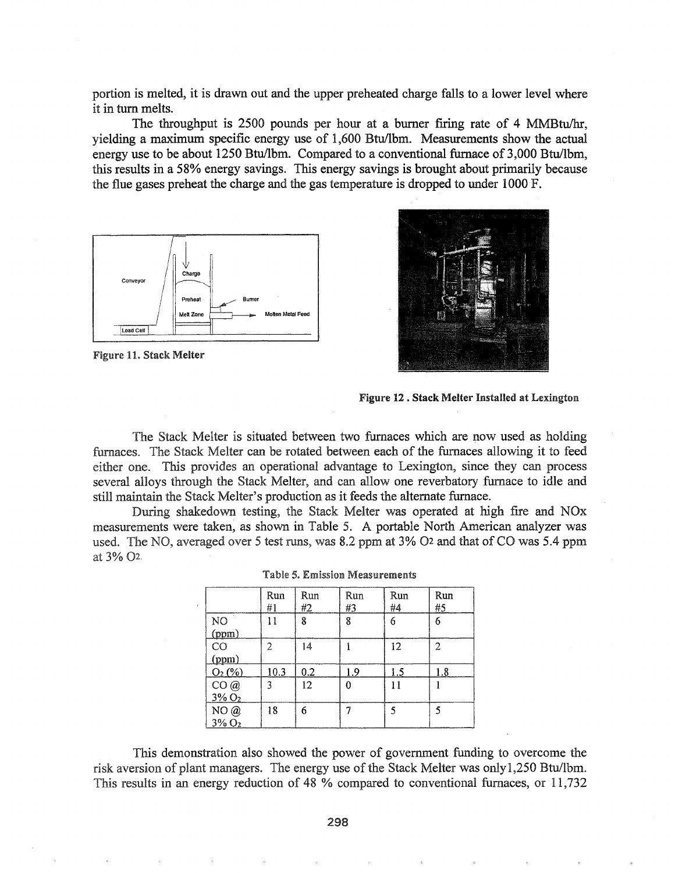portion is melted, it is drawn out and the upper preheated charge falls to a lower level where it in turn melts.

The throughput is 2500 pounds per hour at a burner firing rate of 4 MMBtu/hr, yielding a maximum specific energy use of 1,600 Btu/Ibm. Measurements show the actual energy use to be about 1250 Btu/Ibm. Compared to a conventional furnace of 3,000 Btu/Ibm, this results in a 58% energy savings. This energy savings is brought about primarily because the flue gases preheat the charge and the gas temperature is dropped to under lOOOF.



Figure 11. Stack Melter



Figure 12. Stack Melter Installed at Lexington

The Stack Melter is situated between two furnaces which are now used as holding furnaces. The Stack Melter can be rotated between each of the furnaces allowing it to feed either one. This provides an operational advantage to Lexington, since they can process several alloys through the Stack Melter, and can allow one reverbatory furnace to idle and still maintain the Stack Melter's production as it feeds the alternate furnace.

During shakedown testing, the Stack Melter was operated at high fire and NO<sub>x</sub> measurements were taken, as shown in Table 5. A portable North American analyzer was used. The NO, averaged over 5 test runs, was 8.2 ppm at 3% O2 and that of CO was 5.4 ppm at 3%

|                        | Run<br>#1 | Run<br>#2 | Run<br>#3 | Run<br>#4 | Run<br>#5 |
|------------------------|-----------|-----------|-----------|-----------|-----------|
| NO                     |           | 8         | 8         | 6         | 6         |
| (ppm)                  |           |           |           |           |           |
| CO                     | 2         | 14        |           | 12        | 2         |
| (ppm)                  |           |           |           |           |           |
| $O2(\%)$               | 10.3      | 0.2       | 1.9       | 1.5       | 1.8       |
| CO@                    | 3         | 12        | o         |           |           |
| $3\%$ $\overline{O_2}$ |           |           |           |           |           |
| $\rm NO$ $\oslash$     | 18        | 6         |           | 5         | 5         |
| $3\%$ $O2$             |           |           |           |           |           |

|  | Table 5. Emission Measurements |
|--|--------------------------------|
|--|--------------------------------|

This demonstration also showed the power of government funding to overcome the risk aversion of plant managers. The energy use of the Stack Melter was only 1,250 Btu/lbm. This results in an energy reduction of 48 % compared to conventional furnaces, or 11,732